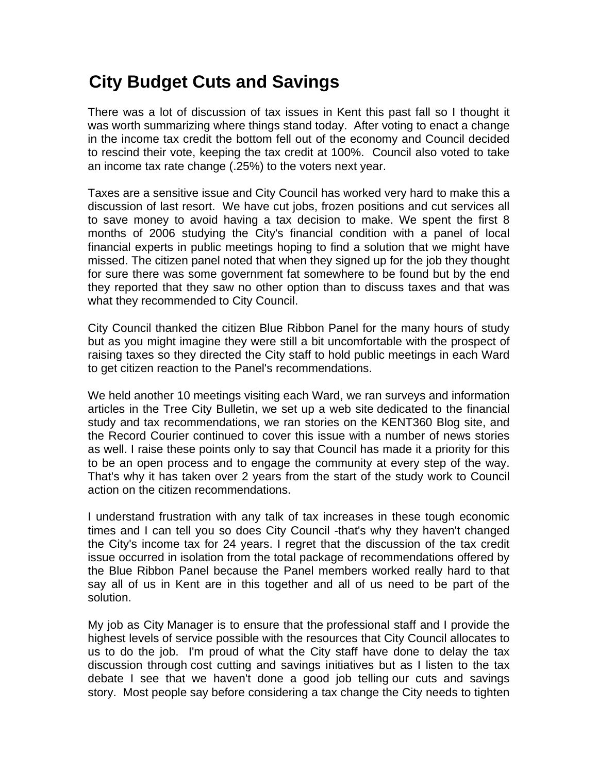## **City Budget Cuts and Savings**

There was a lot of discussion of tax issues in Kent this past fall so I thought it was worth summarizing where things stand today. After voting to enact a change in the income tax credit the bottom fell out of the economy and Council decided to rescind their vote, keeping the tax credit at 100%. Council also voted to take an income tax rate change (.25%) to the voters next year.

Taxes are a sensitive issue and City Council has worked very hard to make this a discussion of last resort. We have cut jobs, frozen positions and cut services all to save money to avoid having a tax decision to make. We spent the first 8 months of 2006 studying the City's financial condition with a panel of local financial experts in public meetings hoping to find a solution that we might have missed. The citizen panel noted that when they signed up for the job they thought for sure there was some government fat somewhere to be found but by the end they reported that they saw no other option than to discuss taxes and that was what they recommended to City Council.

City Council thanked the citizen Blue Ribbon Panel for the many hours of study but as you might imagine they were still a bit uncomfortable with the prospect of raising taxes so they directed the City staff to hold public meetings in each Ward to get citizen reaction to the Panel's recommendations.

We held another 10 meetings visiting each Ward, we ran surveys and information articles in the Tree City Bulletin, we set up a web site dedicated to the financial study and tax recommendations, we ran stories on the KENT360 Blog site, and the Record Courier continued to cover this issue with a number of news stories as well. I raise these points only to say that Council has made it a priority for this to be an open process and to engage the community at every step of the way. That's why it has taken over 2 years from the start of the study work to Council action on the citizen recommendations.

I understand frustration with any talk of tax increases in these tough economic times and I can tell you so does City Council -that's why they haven't changed the City's income tax for 24 years. I regret that the discussion of the tax credit issue occurred in isolation from the total package of recommendations offered by the Blue Ribbon Panel because the Panel members worked really hard to that say all of us in Kent are in this together and all of us need to be part of the solution.

My job as City Manager is to ensure that the professional staff and I provide the highest levels of service possible with the resources that City Council allocates to us to do the job. I'm proud of what the City staff have done to delay the tax discussion through cost cutting and savings initiatives but as I listen to the tax debate I see that we haven't done a good job telling our cuts and savings story. Most people say before considering a tax change the City needs to tighten